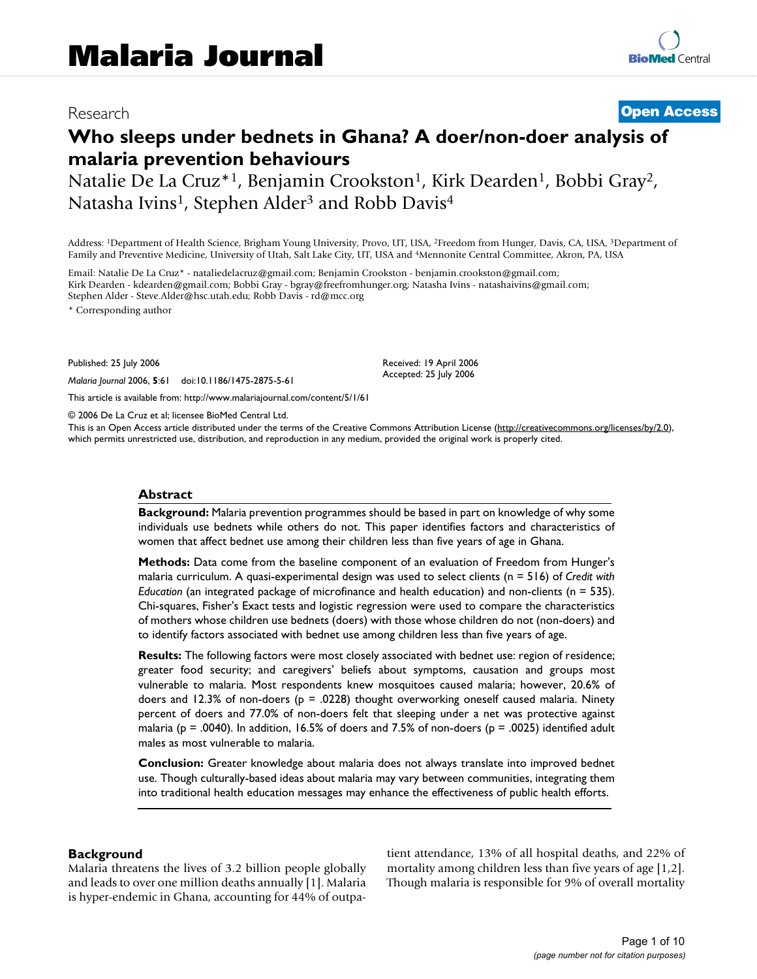# Research **[Open Access](http://www.biomedcentral.com/info/about/charter/)**

# **Who sleeps under bednets in Ghana? A doer/non-doer analysis of malaria prevention behaviours**

Natalie De La Cruz<sup>\*1</sup>, Benjamin Crookston<sup>1</sup>, Kirk Dearden<sup>1</sup>, Bobbi Gray<sup>2</sup>, Natasha Ivins<sup>1</sup>, Stephen Alder<sup>3</sup> and Robb Davis<sup>4</sup>

Address: 1Department of Health Science, Brigham Young University, Provo, UT, USA, 2Freedom from Hunger, Davis, CA, USA, 3Department of Family and Preventive Medicine, University of Utah, Salt Lake City, UT, USA and 4Mennonite Central Committee, Akron, PA, USA

Email: Natalie De La Cruz\* - nataliedelacruz@gmail.com; Benjamin Crookston - benjamin.crookston@gmail.com; Kirk Dearden - kdearden@gmail.com; Bobbi Gray - bgray@freefromhunger.org; Natasha Ivins - natashaivins@gmail.com; Stephen Alder - Steve.Alder@hsc.utah.edu; Robb Davis - rd@mcc.org

\* Corresponding author

Published: 25 July 2006

*Malaria Journal* 2006, **5**:61 doi:10.1186/1475-2875-5-61

[This article is available from: http://www.malariajournal.com/content/5/1/61](http://www.malariajournal.com/content/5/1/61)

© 2006 De La Cruz et al; licensee BioMed Central Ltd.

This is an Open Access article distributed under the terms of the Creative Commons Attribution License [\(http://creativecommons.org/licenses/by/2.0\)](http://creativecommons.org/licenses/by/2.0), which permits unrestricted use, distribution, and reproduction in any medium, provided the original work is properly cited.

Received: 19 April 2006 Accepted: 25 July 2006

#### **Abstract**

**Background:** Malaria prevention programmes should be based in part on knowledge of why some individuals use bednets while others do not. This paper identifies factors and characteristics of women that affect bednet use among their children less than five years of age in Ghana.

**Methods:** Data come from the baseline component of an evaluation of Freedom from Hunger's malaria curriculum. A quasi-experimental design was used to select clients (n = 516) of *Credit with Education* (an integrated package of microfinance and health education) and non-clients (n = 535). Chi-squares, Fisher's Exact tests and logistic regression were used to compare the characteristics of mothers whose children use bednets (doers) with those whose children do not (non-doers) and to identify factors associated with bednet use among children less than five years of age.

**Results:** The following factors were most closely associated with bednet use: region of residence; greater food security; and caregivers' beliefs about symptoms, causation and groups most vulnerable to malaria. Most respondents knew mosquitoes caused malaria; however, 20.6% of doers and 12.3% of non-doers ( $p = .0228$ ) thought overworking oneself caused malaria. Ninety percent of doers and 77.0% of non-doers felt that sleeping under a net was protective against malaria ( $p = .0040$ ). In addition, 16.5% of doers and 7.5% of non-doers ( $p = .0025$ ) identified adult males as most vulnerable to malaria.

**Conclusion:** Greater knowledge about malaria does not always translate into improved bednet use. Though culturally-based ideas about malaria may vary between communities, integrating them into traditional health education messages may enhance the effectiveness of public health efforts.

### **Background**

Malaria threatens the lives of 3.2 billion people globally and leads to over one million deaths annually [1]. Malaria is hyper-endemic in Ghana, accounting for 44% of outpatient attendance, 13% of all hospital deaths, and 22% of mortality among children less than five years of age [1,2]. Though malaria is responsible for 9% of overall mortality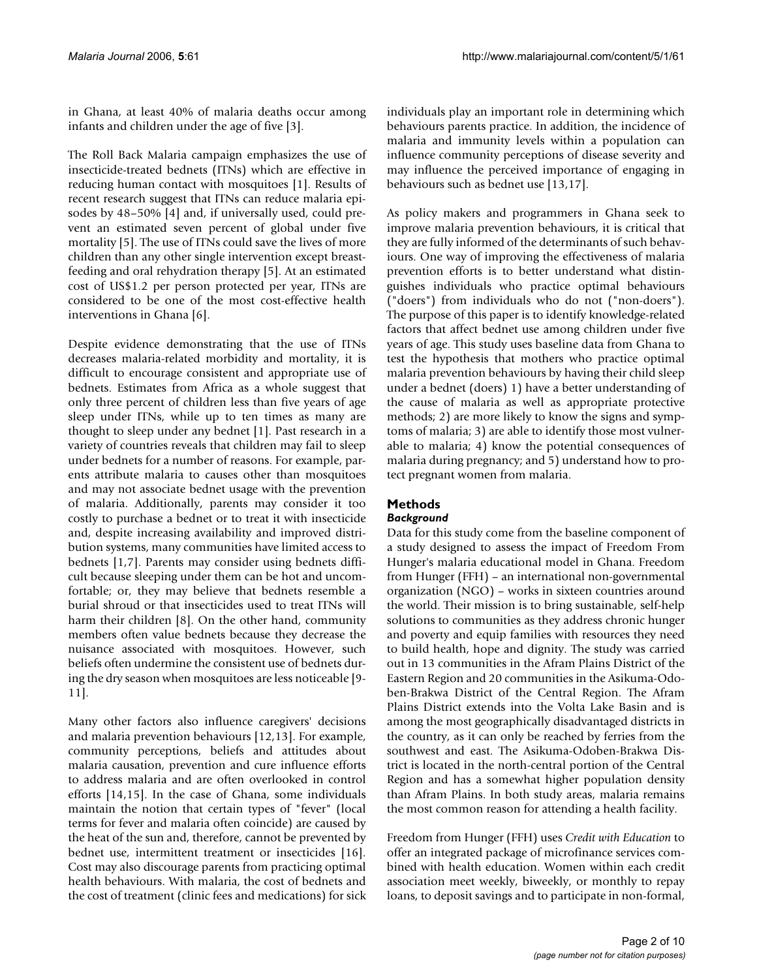in Ghana, at least 40% of malaria deaths occur among infants and children under the age of five [3].

The Roll Back Malaria campaign emphasizes the use of insecticide-treated bednets (ITNs) which are effective in reducing human contact with mosquitoes [1]. Results of recent research suggest that ITNs can reduce malaria episodes by 48–50% [4] and, if universally used, could prevent an estimated seven percent of global under five mortality [5]. The use of ITNs could save the lives of more children than any other single intervention except breastfeeding and oral rehydration therapy [5]. At an estimated cost of US\$1.2 per person protected per year, ITNs are considered to be one of the most cost-effective health interventions in Ghana [6].

Despite evidence demonstrating that the use of ITNs decreases malaria-related morbidity and mortality, it is difficult to encourage consistent and appropriate use of bednets. Estimates from Africa as a whole suggest that only three percent of children less than five years of age sleep under ITNs, while up to ten times as many are thought to sleep under any bednet [1]. Past research in a variety of countries reveals that children may fail to sleep under bednets for a number of reasons. For example, parents attribute malaria to causes other than mosquitoes and may not associate bednet usage with the prevention of malaria. Additionally, parents may consider it too costly to purchase a bednet or to treat it with insecticide and, despite increasing availability and improved distribution systems, many communities have limited access to bednets [1,7]. Parents may consider using bednets difficult because sleeping under them can be hot and uncomfortable; or, they may believe that bednets resemble a burial shroud or that insecticides used to treat ITNs will harm their children [8]. On the other hand, community members often value bednets because they decrease the nuisance associated with mosquitoes. However, such beliefs often undermine the consistent use of bednets during the dry season when mosquitoes are less noticeable [9- 11].

Many other factors also influence caregivers' decisions and malaria prevention behaviours [12,13]. For example, community perceptions, beliefs and attitudes about malaria causation, prevention and cure influence efforts to address malaria and are often overlooked in control efforts [14,15]. In the case of Ghana, some individuals maintain the notion that certain types of "fever" (local terms for fever and malaria often coincide) are caused by the heat of the sun and, therefore, cannot be prevented by bednet use, intermittent treatment or insecticides [16]. Cost may also discourage parents from practicing optimal health behaviours. With malaria, the cost of bednets and the cost of treatment (clinic fees and medications) for sick

individuals play an important role in determining which behaviours parents practice. In addition, the incidence of malaria and immunity levels within a population can influence community perceptions of disease severity and may influence the perceived importance of engaging in behaviours such as bednet use [13,17].

As policy makers and programmers in Ghana seek to improve malaria prevention behaviours, it is critical that they are fully informed of the determinants of such behaviours. One way of improving the effectiveness of malaria prevention efforts is to better understand what distinguishes individuals who practice optimal behaviours ("doers") from individuals who do not ("non-doers"). The purpose of this paper is to identify knowledge-related factors that affect bednet use among children under five years of age. This study uses baseline data from Ghana to test the hypothesis that mothers who practice optimal malaria prevention behaviours by having their child sleep under a bednet (doers) 1) have a better understanding of the cause of malaria as well as appropriate protective methods; 2) are more likely to know the signs and symptoms of malaria; 3) are able to identify those most vulnerable to malaria; 4) know the potential consequences of malaria during pregnancy; and 5) understand how to protect pregnant women from malaria.

# **Methods**

# *Background*

Data for this study come from the baseline component of a study designed to assess the impact of Freedom From Hunger's malaria educational model in Ghana. Freedom from Hunger (FFH) – an international non-governmental organization (NGO) – works in sixteen countries around the world. Their mission is to bring sustainable, self-help solutions to communities as they address chronic hunger and poverty and equip families with resources they need to build health, hope and dignity. The study was carried out in 13 communities in the Afram Plains District of the Eastern Region and 20 communities in the Asikuma-Odoben-Brakwa District of the Central Region. The Afram Plains District extends into the Volta Lake Basin and is among the most geographically disadvantaged districts in the country, as it can only be reached by ferries from the southwest and east. The Asikuma-Odoben-Brakwa District is located in the north-central portion of the Central Region and has a somewhat higher population density than Afram Plains. In both study areas, malaria remains the most common reason for attending a health facility.

Freedom from Hunger (FFH) uses *Credit with Education* to offer an integrated package of microfinance services combined with health education. Women within each credit association meet weekly, biweekly, or monthly to repay loans, to deposit savings and to participate in non-formal,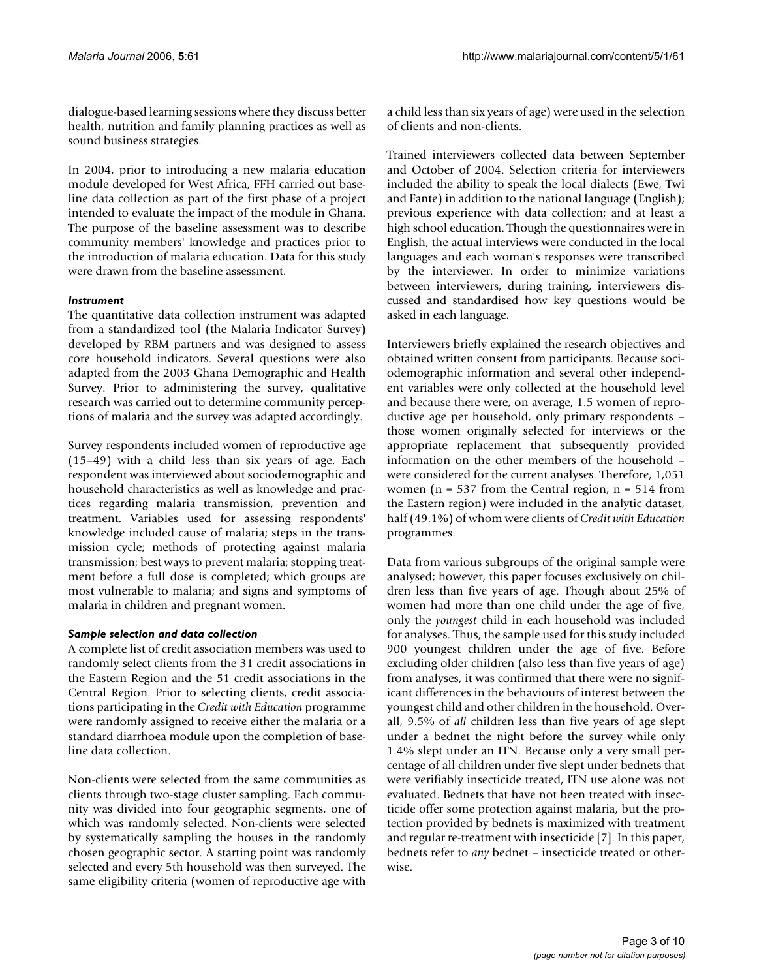dialogue-based learning sessions where they discuss better health, nutrition and family planning practices as well as sound business strategies.

In 2004, prior to introducing a new malaria education module developed for West Africa, FFH carried out baseline data collection as part of the first phase of a project intended to evaluate the impact of the module in Ghana. The purpose of the baseline assessment was to describe community members' knowledge and practices prior to the introduction of malaria education. Data for this study were drawn from the baseline assessment.

# *Instrument*

The quantitative data collection instrument was adapted from a standardized tool (the Malaria Indicator Survey) developed by RBM partners and was designed to assess core household indicators. Several questions were also adapted from the 2003 Ghana Demographic and Health Survey. Prior to administering the survey, qualitative research was carried out to determine community perceptions of malaria and the survey was adapted accordingly.

Survey respondents included women of reproductive age (15–49) with a child less than six years of age. Each respondent was interviewed about sociodemographic and household characteristics as well as knowledge and practices regarding malaria transmission, prevention and treatment. Variables used for assessing respondents' knowledge included cause of malaria; steps in the transmission cycle; methods of protecting against malaria transmission; best ways to prevent malaria; stopping treatment before a full dose is completed; which groups are most vulnerable to malaria; and signs and symptoms of malaria in children and pregnant women.

# *Sample selection and data collection*

A complete list of credit association members was used to randomly select clients from the 31 credit associations in the Eastern Region and the 51 credit associations in the Central Region. Prior to selecting clients, credit associations participating in the *Credit with Education* programme were randomly assigned to receive either the malaria or a standard diarrhoea module upon the completion of baseline data collection.

Non-clients were selected from the same communities as clients through two-stage cluster sampling. Each community was divided into four geographic segments, one of which was randomly selected. Non-clients were selected by systematically sampling the houses in the randomly chosen geographic sector. A starting point was randomly selected and every 5th household was then surveyed. The same eligibility criteria (women of reproductive age with a child less than six years of age) were used in the selection of clients and non-clients.

Trained interviewers collected data between September and October of 2004. Selection criteria for interviewers included the ability to speak the local dialects (Ewe, Twi and Fante) in addition to the national language (English); previous experience with data collection; and at least a high school education. Though the questionnaires were in English, the actual interviews were conducted in the local languages and each woman's responses were transcribed by the interviewer. In order to minimize variations between interviewers, during training, interviewers discussed and standardised how key questions would be asked in each language.

Interviewers briefly explained the research objectives and obtained written consent from participants. Because sociodemographic information and several other independent variables were only collected at the household level and because there were, on average, 1.5 women of reproductive age per household, only primary respondents – those women originally selected for interviews or the appropriate replacement that subsequently provided information on the other members of the household – were considered for the current analyses. Therefore, 1,051 women ( $n = 537$  from the Central region;  $n = 514$  from the Eastern region) were included in the analytic dataset, half (49.1%) of whom were clients of *Credit with Education* programmes.

Data from various subgroups of the original sample were analysed; however, this paper focuses exclusively on children less than five years of age. Though about 25% of women had more than one child under the age of five, only the *youngest* child in each household was included for analyses. Thus, the sample used for this study included 900 youngest children under the age of five. Before excluding older children (also less than five years of age) from analyses, it was confirmed that there were no significant differences in the behaviours of interest between the youngest child and other children in the household. Overall, 9.5% of *all* children less than five years of age slept under a bednet the night before the survey while only 1.4% slept under an ITN. Because only a very small percentage of all children under five slept under bednets that were verifiably insecticide treated, ITN use alone was not evaluated. Bednets that have not been treated with insecticide offer some protection against malaria, but the protection provided by bednets is maximized with treatment and regular re-treatment with insecticide [7]. In this paper, bednets refer to *any* bednet – insecticide treated or otherwise.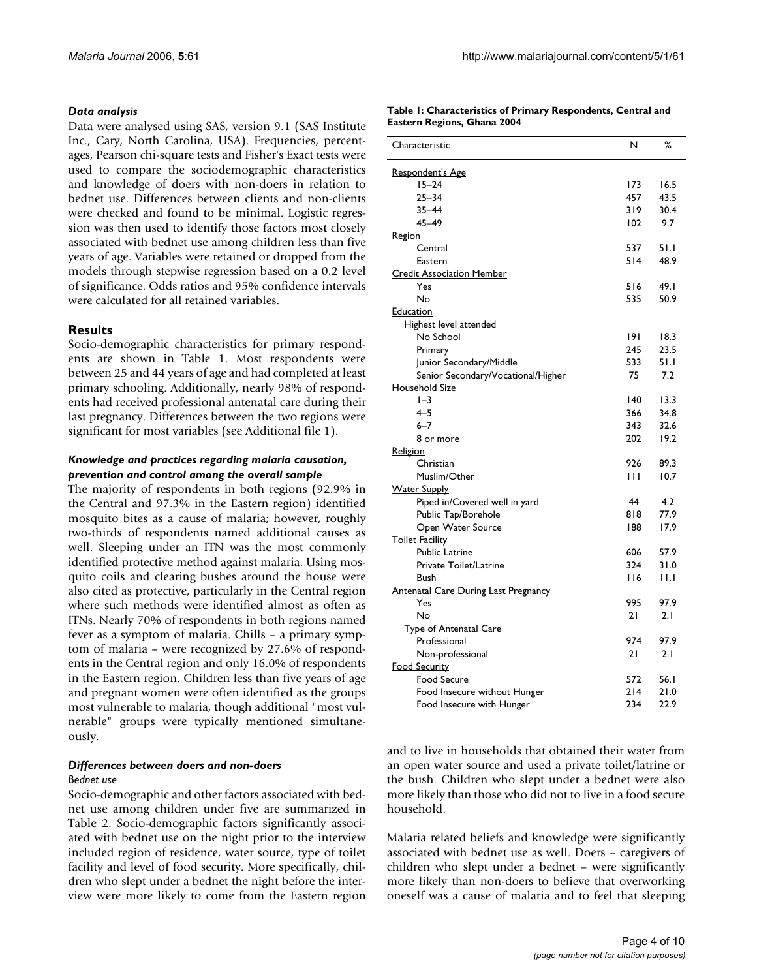### *Data analysis*

Data were analysed using SAS, version 9.1 (SAS Institute Inc., Cary, North Carolina, USA). Frequencies, percentages, Pearson chi-square tests and Fisher's Exact tests were used to compare the sociodemographic characteristics and knowledge of doers with non-doers in relation to bednet use. Differences between clients and non-clients were checked and found to be minimal. Logistic regression was then used to identify those factors most closely associated with bednet use among children less than five years of age. Variables were retained or dropped from the models through stepwise regression based on a 0.2 level of significance. Odds ratios and 95% confidence intervals were calculated for all retained variables.

# **Results**

Socio-demographic characteristics for primary respondents are shown in Table 1. Most respondents were between 25 and 44 years of age and had completed at least primary schooling. Additionally, nearly 98% of respondents had received professional antenatal care during their last pregnancy. Differences between the two regions were significant for most variables (see Additional file 1).

# *Knowledge and practices regarding malaria causation, prevention and control among the overall sample*

The majority of respondents in both regions (92.9% in the Central and 97.3% in the Eastern region) identified mosquito bites as a cause of malaria; however, roughly two-thirds of respondents named additional causes as well. Sleeping under an ITN was the most commonly identified protective method against malaria. Using mosquito coils and clearing bushes around the house were also cited as protective, particularly in the Central region where such methods were identified almost as often as ITNs. Nearly 70% of respondents in both regions named fever as a symptom of malaria. Chills – a primary symptom of malaria – were recognized by 27.6% of respondents in the Central region and only 16.0% of respondents in the Eastern region. Children less than five years of age and pregnant women were often identified as the groups most vulnerable to malaria, though additional "most vulnerable" groups were typically mentioned simultaneously.

#### *Differences between doers and non-doers Bednet use*

Socio-demographic and other factors associated with bednet use among children under five are summarized in Table 2. Socio-demographic factors significantly associated with bednet use on the night prior to the interview included region of residence, water source, type of toilet facility and level of food security. More specifically, children who slept under a bednet the night before the interview were more likely to come from the Eastern region

|                             | Table 1: Characteristics of Primary Respondents, Central and |
|-----------------------------|--------------------------------------------------------------|
| Eastern Regions, Ghana 2004 |                                                              |

| Characteristic                               | N   | %    |
|----------------------------------------------|-----|------|
| Respondent's Age                             |     |      |
| $15 - 24$                                    | 173 | 16.5 |
| $25 - 34$                                    | 457 | 43.5 |
| $35 - 44$                                    | 319 | 30.4 |
| $45 - 49$                                    | 102 | 9.7  |
| <u>Region</u>                                |     |      |
| Central                                      | 537 | 51.I |
| Eastern                                      | 514 | 48.9 |
| <b>Credit Association Member</b>             |     |      |
| Yes                                          | 516 | 49.I |
| No                                           | 535 | 50.9 |
| <b>Education</b>                             |     |      |
| Highest level attended                       |     |      |
| No School                                    | 191 | 18.3 |
| Primary                                      | 245 | 23.5 |
| Junior Secondary/Middle                      | 533 | 51.I |
| Senior Secondary/Vocational/Higher           | 75  | 7.2  |
| <b>Household Size</b>                        |     |      |
| $I-3$                                        | 140 | 13.3 |
| $4 - 5$                                      | 366 | 34.8 |
| $6 - 7$                                      | 343 | 32.6 |
| 8 or more                                    | 202 | 19.2 |
| Religion                                     |     |      |
| Christian                                    | 926 | 89.3 |
| Muslim/Other                                 | 111 | 10.7 |
| <b>Water Supply</b>                          |     |      |
| Piped in/Covered well in yard                | 44  | 4.2  |
| Public Tap/Borehole                          | 818 | 77.9 |
| Open Water Source                            | 188 | 17.9 |
| <b>Toilet Facility</b>                       |     |      |
| <b>Public Latrine</b>                        | 606 | 57.9 |
| Private Toilet/Latrine                       | 324 | 31.0 |
| Bush                                         | 116 | 11.1 |
| <u> Antenatal Care During Last Pregnancy</u> |     |      |
| Yes                                          | 995 | 97.9 |
| No                                           | 21  | 2.1  |
| Type of Antenatal Care                       |     |      |
| Professional                                 | 974 | 97.9 |
| Non-professional                             | 21  | 2.1  |
| <b>Food Security</b>                         |     |      |
| <b>Food Secure</b>                           | 572 | 56.I |
| Food Insecure without Hunger                 | 214 | 21.0 |
| Food Insecure with Hunger                    | 234 | 22.9 |

and to live in households that obtained their water from an open water source and used a private toilet/latrine or the bush. Children who slept under a bednet were also more likely than those who did not to live in a food secure household.

Malaria related beliefs and knowledge were significantly associated with bednet use as well. Doers – caregivers of children who slept under a bednet – were significantly more likely than non-doers to believe that overworking oneself was a cause of malaria and to feel that sleeping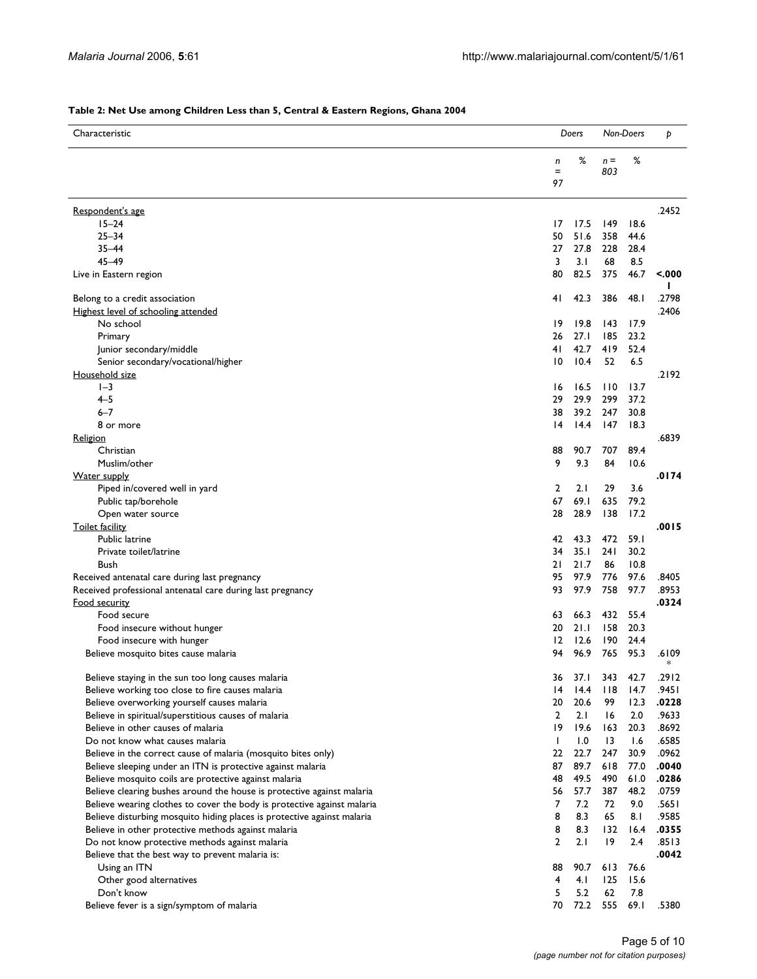# **Table 2: Net Use among Children Less than 5, Central & Eastern Regions, Ghana 2004**

| Characteristic                                                          |                 | Doers |                 | Non-Doers | Þ      |
|-------------------------------------------------------------------------|-----------------|-------|-----------------|-----------|--------|
|                                                                         |                 |       |                 |           |        |
|                                                                         | n<br>$=$        | %     | $n =$<br>803    | %         |        |
|                                                                         | 97              |       |                 |           |        |
| Respondent's age                                                        |                 |       |                 |           | .2452  |
| $15 - 24$                                                               | 17              | 17.5  | 149             | 18.6      |        |
| $25 - 34$                                                               | 50              | 51.6  | 358             | 44.6      |        |
| $35 - 44$                                                               | 27              | 27.8  | 228             | 28.4      |        |
| $45 - 49$                                                               | 3               | 3.1   | 68              | 8.5       |        |
| Live in Eastern region                                                  | 80              | 82.5  | 375             | 46.7      | < .000 |
| Belong to a credit association                                          | 41              | 42.3  | 386             | 48.I      | .2798  |
| Highest level of schooling attended                                     |                 |       |                 |           | .2406  |
| No school                                                               | 19              | 19.8  | 143             | 17.9      |        |
| Primary                                                                 | 26              | 27.1  | 185             | 23.2      |        |
| Junior secondary/middle                                                 | 41              | 42.7  | 419             | 52.4      |        |
| Senior secondary/vocational/higher                                      | 10              | 10.4  | 52              | 6.5       |        |
| Household size                                                          |                 |       |                 |           | .2192  |
| $I-3$                                                                   | 16              | 16.5  | 110             | 13.7      |        |
| $4 - 5$                                                                 | 29              | 29.9  | 299             | 37.2      |        |
| $6 - 7$                                                                 | 38              | 39.2  | 247             | 30.8      |        |
| 8 or more                                                               | 14              | 14.4  | 147             | 18.3      |        |
| <b>Religion</b>                                                         |                 |       |                 |           | .6839  |
| Christian                                                               | 88              | 90.7  | 707             | 89.4      |        |
| Muslim/other                                                            | 9               | 9.3   | 84              | 10.6      |        |
| <b>Water supply</b>                                                     |                 |       |                 |           | .0174  |
| Piped in/covered well in yard                                           | 2               | 2.1   | 29              | 3.6       |        |
| Public tap/borehole                                                     | 67              | 69.1  | 635             | 79.2      |        |
| Open water source                                                       | 28              | 28.9  | 138             | 17.2      |        |
| <b>Toilet facility</b>                                                  |                 |       |                 |           | .0015  |
| Public latrine                                                          | 42              | 43.3  | 472             | 59.I      |        |
| Private toilet/latrine                                                  | 34              | 35.1  | 24 I            | 30.2      |        |
| <b>Bush</b>                                                             | 21              | 21.7  | 86              | 10.8      |        |
| Received antenatal care during last pregnancy                           | 95              | 97.9  | 776             | 97.6      | .8405  |
| Received professional antenatal care during last pregnancy              | 93              | 97.9  | 758             | 97.7      | .8953  |
| Food security                                                           |                 |       |                 |           | .0324  |
| Food secure                                                             | 63              | 66.3  | 432             | 55.4      |        |
| Food insecure without hunger                                            | 20              | 21.1  | 158             | 20.3      |        |
| Food insecure with hunger                                               | 12              | 12.6  | 190             | 24.4      |        |
| Believe mosquito bites cause malaria                                    | 94              | 96.9  | 765             | 95.3      | .6109  |
|                                                                         |                 |       |                 |           | $*$    |
| Believe staying in the sun too long causes malaria                      | 36              | 37.1  | 343             | 42.7      | .2912  |
| Believe working too close to fire causes malaria                        | $\overline{14}$ | 14.4  | $ $  8          | 14.7      | ا 945. |
| Believe overworking yourself causes malaria                             | 20              | 20.6  | 99              | 12.3      | .0228  |
| Believe in spiritual/superstitious causes of malaria                    | 2               | 2.1   | 16              | 2.0       | .9633  |
| Believe in other causes of malaria                                      | 19              | 19.6  | 163             | 20.3      | .8692  |
| Do not know what causes malaria                                         | $\mathbf{I}$    | 1.0   | $\overline{13}$ | 1.6       | .6585  |
| Believe in the correct cause of malaria (mosquito bites only)           | 22              | 22.7  | 247             | 30.9      | .0962  |
| Believe sleeping under an ITN is protective against malaria             | 87              | 89.7  | 618             | 77.0      | .0040  |
| Believe mosquito coils are protective against malaria                   | 48              | 49.5  | 490             | 61.0      | .0286  |
| Believe clearing bushes around the house is protective against malaria  | 56              | 57.7  | 387             | 48.2      | .0759  |
| Believe wearing clothes to cover the body is protective against malaria | 7               | 7.2   | 72              | 9.0       | .5651  |
| Believe disturbing mosquito hiding places is protective against malaria | 8               | 8.3   | 65              | 8.I       | .9585  |
| Believe in other protective methods against malaria                     | 8               | 8.3   | 132             | 16.4      | .0355  |
| Do not know protective methods against malaria                          | 2               | 2.1   | 19              | 2.4       | .8513  |
| Believe that the best way to prevent malaria is:                        |                 |       |                 |           | .0042  |
| Using an ITN                                                            | 88              | 90.7  | 613             | 76.6      |        |
| Other good alternatives                                                 | 4               | 4.1   | 125             | 15.6      |        |
| Don't know                                                              | 5               | 5.2   | 62              | 7.8       |        |
| Believe fever is a sign/symptom of malaria                              | 70              | 72.2  | 555             | 69.I      | .5380  |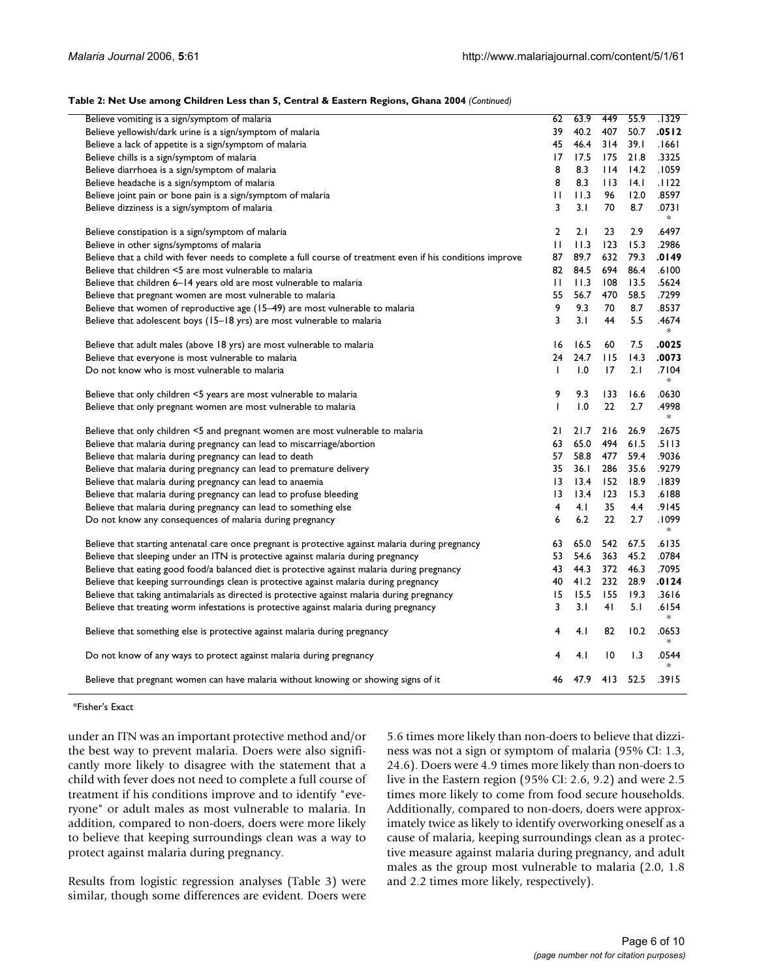#### **Table 2: Net Use among Children Less than 5, Central & Eastern Regions, Ghana 2004** *(Continued)*

| Believe vomiting is a sign/symptom of malaria                                                               | 62             | 63.9 | 449             | 55.9 | .1329        |
|-------------------------------------------------------------------------------------------------------------|----------------|------|-----------------|------|--------------|
| Believe yellowish/dark urine is a sign/symptom of malaria                                                   | 39             | 40.2 | 407             | 50.7 | .0512        |
| Believe a lack of appetite is a sign/symptom of malaria                                                     | 45             | 46.4 | 314             | 39.1 | .1661        |
| Believe chills is a sign/symptom of malaria                                                                 | 17             | 17.5 | 175             | 21.8 | .3325        |
| Believe diarrhoea is a sign/symptom of malaria                                                              | 8              | 8.3  | 114             | 14.2 | .1059        |
| Believe headache is a sign/symptom of malaria                                                               | 8              | 8.3  | 113             | 4.1  | .1122        |
| Believe joint pain or bone pain is a sign/symptom of malaria                                                | П              | 11.3 | 96              | 12.0 | .8597        |
| Believe dizziness is a sign/symptom of malaria                                                              | 3              | 3.1  | 70              | 8.7  | .0731        |
|                                                                                                             |                |      |                 |      | *            |
| Believe constipation is a sign/symptom of malaria                                                           | $\overline{2}$ | 2.1  | 23              | 2.9  | .6497        |
| Believe in other signs/symptoms of malaria                                                                  | П              | 11.3 | 123             | 15.3 | .2986        |
| Believe that a child with fever needs to complete a full course of treatment even if his conditions improve | 87             | 89.7 | 632             | 79.3 | .0149        |
| Believe that children <5 are most vulnerable to malaria                                                     | 82             | 84.5 | 694             | 86.4 | .6100        |
| Believe that children 6-14 years old are most vulnerable to malaria                                         | $\mathbf{H}$   | 11.3 | 108             | 13.5 | .5624        |
| Believe that pregnant women are most vulnerable to malaria                                                  | 55             | 56.7 | 470             | 58.5 | .7299        |
| Believe that women of reproductive age (15-49) are most vulnerable to malaria                               | 9              | 9.3  | 70              | 8.7  | .8537        |
| Believe that adolescent boys (15-18 yrs) are most vulnerable to malaria                                     | 3              | 3.1  | 44              | 5.5  | .4674        |
|                                                                                                             |                |      |                 |      | *            |
| Believe that adult males (above 18 yrs) are most vulnerable to malaria                                      | 16             | 16.5 | 60              | 7.5  | .0025        |
| Believe that everyone is most vulnerable to malaria                                                         | 24             | 24.7 | 115             | 4.3  | .0073        |
| Do not know who is most vulnerable to malaria                                                               | T              | 1.0  | 17              | 2.1  | .7104        |
|                                                                                                             |                |      |                 |      | $\ast$       |
| Believe that only children <5 years are most vulnerable to malaria                                          | 9              | 9.3  | 133             | 16.6 | .0630        |
| Believe that only pregnant women are most vulnerable to malaria                                             | T              | 1.0  | 22              | 2.7  | .4998        |
|                                                                                                             |                |      |                 |      | $*$          |
| Believe that only children <5 and pregnant women are most vulnerable to malaria                             | 21             | 21.7 | 216             | 26.9 | .2675        |
| Believe that malaria during pregnancy can lead to miscarriage/abortion                                      | 63             | 65.0 | 494             | 61.5 | .5113        |
| Believe that malaria during pregnancy can lead to death                                                     | 57             | 58.8 | 477             | 59.4 | .9036        |
| Believe that malaria during pregnancy can lead to premature delivery                                        | 35             | 36.1 | 286             | 35.6 | .9279        |
| Believe that malaria during pregnancy can lead to anaemia                                                   | 3              | 13.4 | 152             | 18.9 | .1839        |
| Believe that malaria during pregnancy can lead to profuse bleeding                                          | 13             | 13.4 | 123             | 15.3 | .6188        |
| Believe that malaria during pregnancy can lead to something else                                            | 4              | 4.1  | 35              | 4.4  | .9145        |
| Do not know any consequences of malaria during pregnancy                                                    | 6              | 6.2  | 22              | 2.7  | .1099        |
|                                                                                                             |                |      |                 |      | *.           |
| Believe that starting antenatal care once pregnant is protective against malaria during pregnancy           | 63             | 65.0 | 542             | 67.5 | .6135        |
| Believe that sleeping under an ITN is protective against malaria during pregnancy                           | 53             | 54.6 | 363             | 45.2 | .0784        |
| Believe that eating good food/a balanced diet is protective against malaria during pregnancy                | 43             | 44.3 | 372             | 46.3 | .7095        |
| Believe that keeping surroundings clean is protective against malaria during pregnancy                      | 40             | 41.2 | 232             | 28.9 | .0124        |
| Believe that taking antimalarials as directed is protective against malaria during pregnancy                | 15             | 15.5 | 155             | 19.3 | .3616        |
| Believe that treating worm infestations is protective against malaria during pregnancy                      | 3              | 3.1  | 41              | 5.1  | .6154        |
|                                                                                                             |                |      |                 |      | $\ast$       |
| Believe that something else is protective against malaria during pregnancy                                  | 4              | 4.1  | 82              | 10.2 | .0653        |
|                                                                                                             |                |      |                 |      | $*$          |
| Do not know of any ways to protect against malaria during pregnancy                                         | 4              | 4. I | $\overline{10}$ | 1.3  | .0544<br>$*$ |
| Believe that pregnant women can have malaria without knowing or showing signs of it                         | 46             | 47.9 | 413             | 52.5 | .3915        |
|                                                                                                             |                |      |                 |      |              |

\*Fisher's Exact

under an ITN was an important protective method and/or the best way to prevent malaria. Doers were also significantly more likely to disagree with the statement that a child with fever does not need to complete a full course of treatment if his conditions improve and to identify "everyone" or adult males as most vulnerable to malaria. In addition, compared to non-doers, doers were more likely to believe that keeping surroundings clean was a way to protect against malaria during pregnancy.

Results from logistic regression analyses (Table 3) were similar, though some differences are evident. Doers were 5.6 times more likely than non-doers to believe that dizziness was not a sign or symptom of malaria (95% CI: 1.3, 24.6). Doers were 4.9 times more likely than non-doers to live in the Eastern region (95% CI: 2.6, 9.2) and were 2.5 times more likely to come from food secure households. Additionally, compared to non-doers, doers were approximately twice as likely to identify overworking oneself as a cause of malaria, keeping surroundings clean as a protective measure against malaria during pregnancy, and adult males as the group most vulnerable to malaria (2.0, 1.8 and 2.2 times more likely, respectively).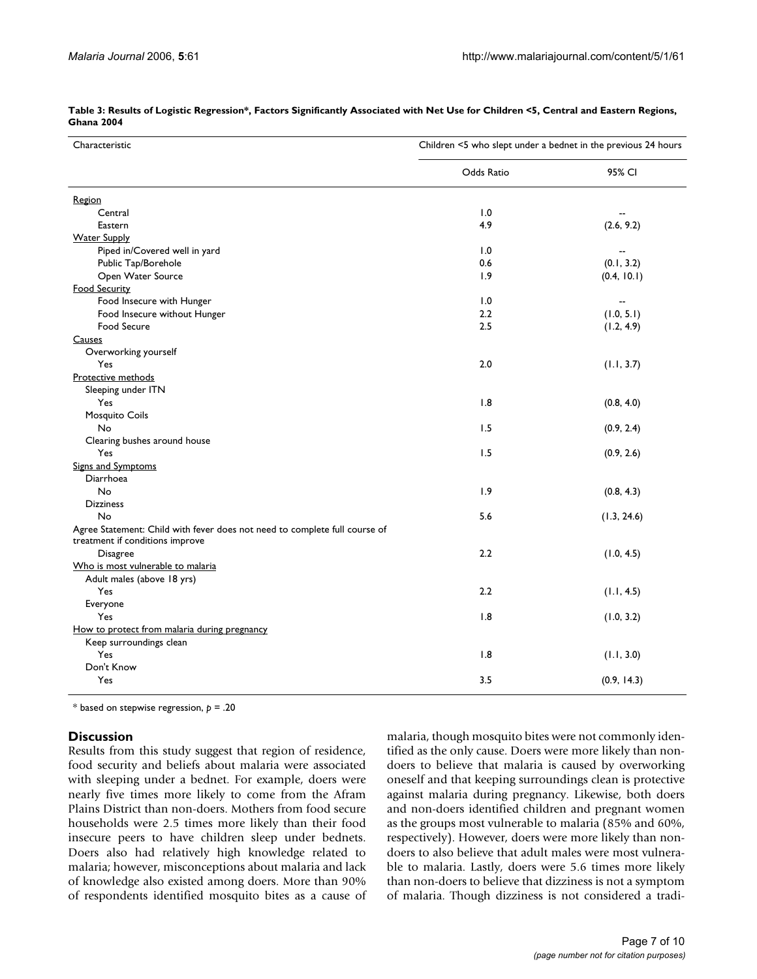| Characteristic                                                             | Children <5 who slept under a bednet in the previous 24 hours |                          |  |  |
|----------------------------------------------------------------------------|---------------------------------------------------------------|--------------------------|--|--|
|                                                                            | Odds Ratio                                                    | 95% CI                   |  |  |
| Region                                                                     |                                                               |                          |  |  |
| Central                                                                    | 1.0                                                           |                          |  |  |
| Eastern                                                                    | 4.9                                                           | (2.6, 9.2)               |  |  |
| <b>Water Supply</b>                                                        |                                                               |                          |  |  |
| Piped in/Covered well in yard                                              | 1.0                                                           | $\overline{\phantom{a}}$ |  |  |
| Public Tap/Borehole                                                        | 0.6                                                           | (0.1, 3.2)               |  |  |
| Open Water Source                                                          | 1.9                                                           | (0.4, 10.1)              |  |  |
| <b>Food Security</b>                                                       |                                                               |                          |  |  |
| Food Insecure with Hunger                                                  | 1.0                                                           | $\overline{\phantom{a}}$ |  |  |
| Food Insecure without Hunger                                               | 2.2                                                           | (1.0, 5.1)               |  |  |
| <b>Food Secure</b>                                                         | 2.5                                                           | (1.2, 4.9)               |  |  |
| Causes                                                                     |                                                               |                          |  |  |
| Overworking yourself                                                       |                                                               |                          |  |  |
| Yes                                                                        | 2.0                                                           | (1.1, 3.7)               |  |  |
| Protective methods                                                         |                                                               |                          |  |  |
| Sleeping under ITN                                                         |                                                               |                          |  |  |
| Yes                                                                        | 1.8                                                           | (0.8, 4.0)               |  |  |
| Mosquito Coils                                                             |                                                               |                          |  |  |
| No                                                                         | 1.5                                                           | (0.9, 2.4)               |  |  |
| Clearing bushes around house                                               |                                                               |                          |  |  |
| Yes                                                                        | 1.5                                                           | (0.9, 2.6)               |  |  |
| Signs and Symptoms                                                         |                                                               |                          |  |  |
| Diarrhoea                                                                  |                                                               |                          |  |  |
| No                                                                         | 1.9                                                           | (0.8, 4.3)               |  |  |
| <b>Dizziness</b>                                                           |                                                               |                          |  |  |
| No                                                                         | 5.6                                                           | (1.3, 24.6)              |  |  |
| Agree Statement: Child with fever does not need to complete full course of |                                                               |                          |  |  |
| treatment if conditions improve                                            |                                                               |                          |  |  |
| Disagree                                                                   | 2.2                                                           | (1.0, 4.5)               |  |  |
| Who is most vulnerable to malaria                                          |                                                               |                          |  |  |
| Adult males (above 18 yrs)                                                 |                                                               |                          |  |  |
| Yes                                                                        | 2.2                                                           | (1.1, 4.5)               |  |  |
| Everyone                                                                   |                                                               |                          |  |  |
| Yes                                                                        | 1.8                                                           | (1.0, 3.2)               |  |  |
| How to protect from malaria during pregnancy                               |                                                               |                          |  |  |
| Keep surroundings clean                                                    |                                                               |                          |  |  |
| Yes                                                                        | 1.8                                                           | (1.1, 3.0)               |  |  |
| Don't Know                                                                 |                                                               |                          |  |  |
| Yes                                                                        | 3.5                                                           | (0.9, 14.3)              |  |  |

#### **Table 3: Results of Logistic Regression\*, Factors Significantly Associated with Net Use for Children <5, Central and Eastern Regions, Ghana 2004**

\* based on stepwise regression, *p* = .20

### **Discussion**

Results from this study suggest that region of residence, food security and beliefs about malaria were associated with sleeping under a bednet. For example, doers were nearly five times more likely to come from the Afram Plains District than non-doers. Mothers from food secure households were 2.5 times more likely than their food insecure peers to have children sleep under bednets. Doers also had relatively high knowledge related to malaria; however, misconceptions about malaria and lack of knowledge also existed among doers. More than 90% of respondents identified mosquito bites as a cause of malaria, though mosquito bites were not commonly identified as the only cause. Doers were more likely than nondoers to believe that malaria is caused by overworking oneself and that keeping surroundings clean is protective against malaria during pregnancy. Likewise, both doers and non-doers identified children and pregnant women as the groups most vulnerable to malaria (85% and 60%, respectively). However, doers were more likely than nondoers to also believe that adult males were most vulnerable to malaria. Lastly, doers were 5.6 times more likely than non-doers to believe that dizziness is not a symptom of malaria. Though dizziness is not considered a tradi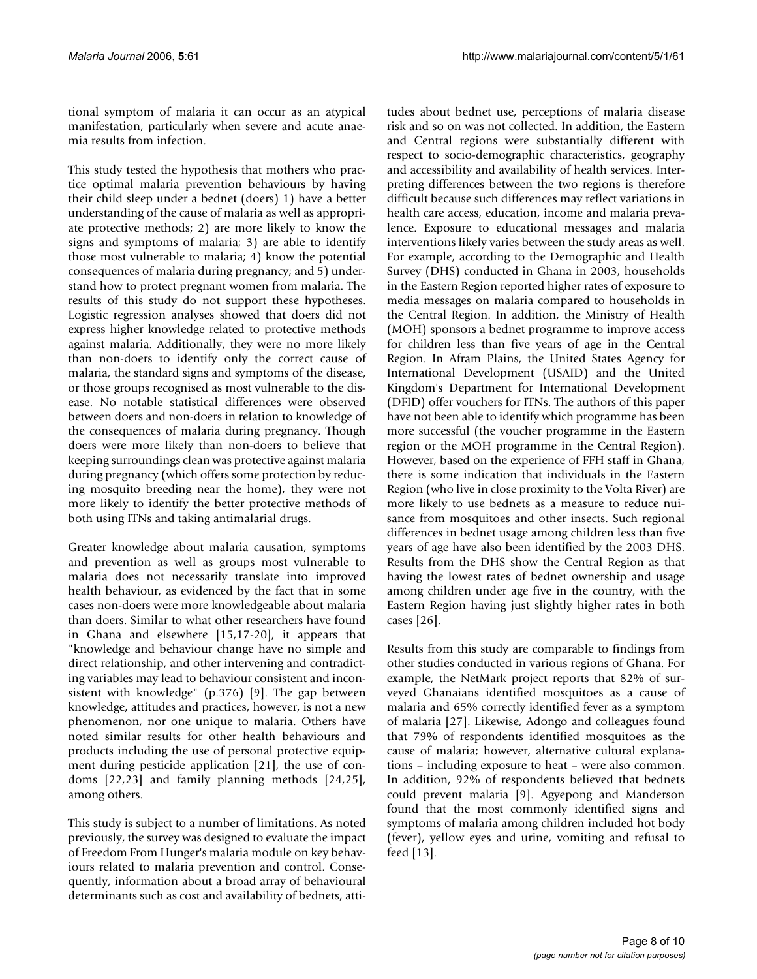tional symptom of malaria it can occur as an atypical manifestation, particularly when severe and acute anaemia results from infection.

This study tested the hypothesis that mothers who practice optimal malaria prevention behaviours by having their child sleep under a bednet (doers) 1) have a better understanding of the cause of malaria as well as appropriate protective methods; 2) are more likely to know the signs and symptoms of malaria; 3) are able to identify those most vulnerable to malaria; 4) know the potential consequences of malaria during pregnancy; and 5) understand how to protect pregnant women from malaria. The results of this study do not support these hypotheses. Logistic regression analyses showed that doers did not express higher knowledge related to protective methods against malaria. Additionally, they were no more likely than non-doers to identify only the correct cause of malaria, the standard signs and symptoms of the disease, or those groups recognised as most vulnerable to the disease. No notable statistical differences were observed between doers and non-doers in relation to knowledge of the consequences of malaria during pregnancy. Though doers were more likely than non-doers to believe that keeping surroundings clean was protective against malaria during pregnancy (which offers some protection by reducing mosquito breeding near the home), they were not more likely to identify the better protective methods of both using ITNs and taking antimalarial drugs.

Greater knowledge about malaria causation, symptoms and prevention as well as groups most vulnerable to malaria does not necessarily translate into improved health behaviour, as evidenced by the fact that in some cases non-doers were more knowledgeable about malaria than doers. Similar to what other researchers have found in Ghana and elsewhere [15,17-20], it appears that "knowledge and behaviour change have no simple and direct relationship, and other intervening and contradicting variables may lead to behaviour consistent and inconsistent with knowledge" (p.376) [9]. The gap between knowledge, attitudes and practices, however, is not a new phenomenon, nor one unique to malaria. Others have noted similar results for other health behaviours and products including the use of personal protective equipment during pesticide application [21], the use of condoms [22,23] and family planning methods [24,25], among others.

This study is subject to a number of limitations. As noted previously, the survey was designed to evaluate the impact of Freedom From Hunger's malaria module on key behaviours related to malaria prevention and control. Consequently, information about a broad array of behavioural determinants such as cost and availability of bednets, attitudes about bednet use, perceptions of malaria disease risk and so on was not collected. In addition, the Eastern and Central regions were substantially different with respect to socio-demographic characteristics, geography and accessibility and availability of health services. Interpreting differences between the two regions is therefore difficult because such differences may reflect variations in health care access, education, income and malaria prevalence. Exposure to educational messages and malaria interventions likely varies between the study areas as well. For example, according to the Demographic and Health Survey (DHS) conducted in Ghana in 2003, households in the Eastern Region reported higher rates of exposure to media messages on malaria compared to households in the Central Region. In addition, the Ministry of Health (MOH) sponsors a bednet programme to improve access for children less than five years of age in the Central Region. In Afram Plains, the United States Agency for International Development (USAID) and the United Kingdom's Department for International Development (DFID) offer vouchers for ITNs. The authors of this paper have not been able to identify which programme has been more successful (the voucher programme in the Eastern region or the MOH programme in the Central Region). However, based on the experience of FFH staff in Ghana, there is some indication that individuals in the Eastern Region (who live in close proximity to the Volta River) are more likely to use bednets as a measure to reduce nuisance from mosquitoes and other insects. Such regional differences in bednet usage among children less than five years of age have also been identified by the 2003 DHS. Results from the DHS show the Central Region as that having the lowest rates of bednet ownership and usage among children under age five in the country, with the Eastern Region having just slightly higher rates in both cases [26].

Results from this study are comparable to findings from other studies conducted in various regions of Ghana. For example, the NetMark project reports that 82% of surveyed Ghanaians identified mosquitoes as a cause of malaria and 65% correctly identified fever as a symptom of malaria [27]. Likewise, Adongo and colleagues found that 79% of respondents identified mosquitoes as the cause of malaria; however, alternative cultural explanations – including exposure to heat – were also common. In addition, 92% of respondents believed that bednets could prevent malaria [9]. Agyepong and Manderson found that the most commonly identified signs and symptoms of malaria among children included hot body (fever), yellow eyes and urine, vomiting and refusal to feed [13].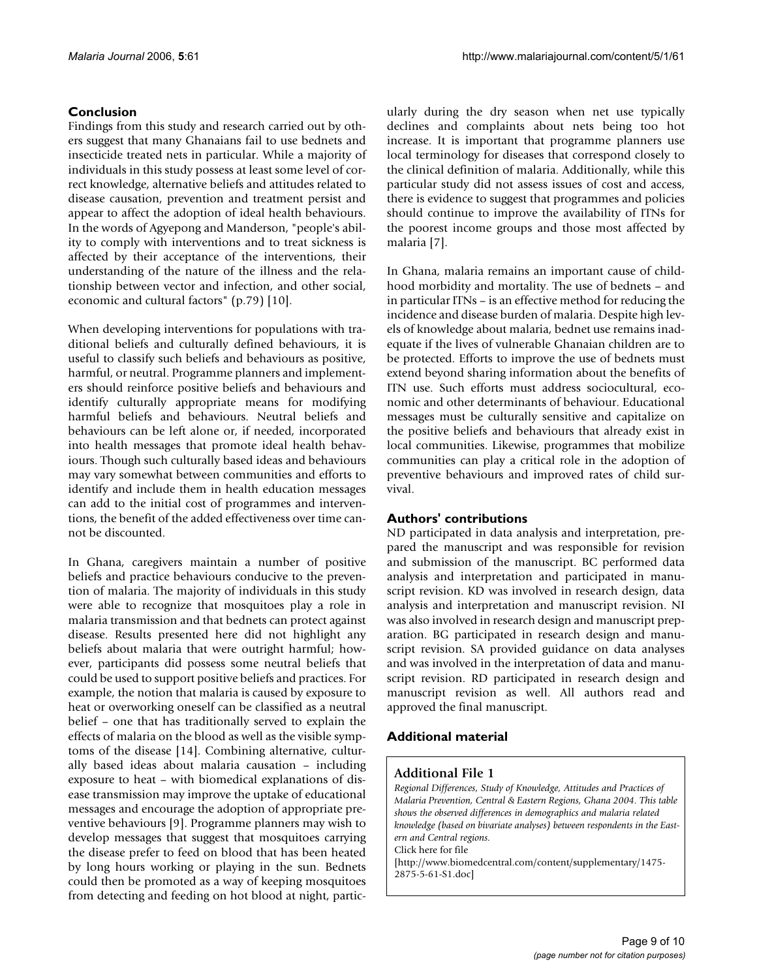# **Conclusion**

Findings from this study and research carried out by others suggest that many Ghanaians fail to use bednets and insecticide treated nets in particular. While a majority of individuals in this study possess at least some level of correct knowledge, alternative beliefs and attitudes related to disease causation, prevention and treatment persist and appear to affect the adoption of ideal health behaviours. In the words of Agyepong and Manderson, "people's ability to comply with interventions and to treat sickness is affected by their acceptance of the interventions, their understanding of the nature of the illness and the relationship between vector and infection, and other social, economic and cultural factors" (p.79) [10].

When developing interventions for populations with traditional beliefs and culturally defined behaviours, it is useful to classify such beliefs and behaviours as positive, harmful, or neutral. Programme planners and implementers should reinforce positive beliefs and behaviours and identify culturally appropriate means for modifying harmful beliefs and behaviours. Neutral beliefs and behaviours can be left alone or, if needed, incorporated into health messages that promote ideal health behaviours. Though such culturally based ideas and behaviours may vary somewhat between communities and efforts to identify and include them in health education messages can add to the initial cost of programmes and interventions, the benefit of the added effectiveness over time cannot be discounted.

In Ghana, caregivers maintain a number of positive beliefs and practice behaviours conducive to the prevention of malaria. The majority of individuals in this study were able to recognize that mosquitoes play a role in malaria transmission and that bednets can protect against disease. Results presented here did not highlight any beliefs about malaria that were outright harmful; however, participants did possess some neutral beliefs that could be used to support positive beliefs and practices. For example, the notion that malaria is caused by exposure to heat or overworking oneself can be classified as a neutral belief – one that has traditionally served to explain the effects of malaria on the blood as well as the visible symptoms of the disease [14]. Combining alternative, culturally based ideas about malaria causation – including exposure to heat – with biomedical explanations of disease transmission may improve the uptake of educational messages and encourage the adoption of appropriate preventive behaviours [9]. Programme planners may wish to develop messages that suggest that mosquitoes carrying the disease prefer to feed on blood that has been heated by long hours working or playing in the sun. Bednets could then be promoted as a way of keeping mosquitoes from detecting and feeding on hot blood at night, particularly during the dry season when net use typically declines and complaints about nets being too hot increase. It is important that programme planners use local terminology for diseases that correspond closely to the clinical definition of malaria. Additionally, while this particular study did not assess issues of cost and access, there is evidence to suggest that programmes and policies should continue to improve the availability of ITNs for the poorest income groups and those most affected by malaria [7].

In Ghana, malaria remains an important cause of childhood morbidity and mortality. The use of bednets – and in particular ITNs – is an effective method for reducing the incidence and disease burden of malaria. Despite high levels of knowledge about malaria, bednet use remains inadequate if the lives of vulnerable Ghanaian children are to be protected. Efforts to improve the use of bednets must extend beyond sharing information about the benefits of ITN use. Such efforts must address sociocultural, economic and other determinants of behaviour. Educational messages must be culturally sensitive and capitalize on the positive beliefs and behaviours that already exist in local communities. Likewise, programmes that mobilize communities can play a critical role in the adoption of preventive behaviours and improved rates of child survival.

# **Authors' contributions**

ND participated in data analysis and interpretation, prepared the manuscript and was responsible for revision and submission of the manuscript. BC performed data analysis and interpretation and participated in manuscript revision. KD was involved in research design, data analysis and interpretation and manuscript revision. NI was also involved in research design and manuscript preparation. BG participated in research design and manuscript revision. SA provided guidance on data analyses and was involved in the interpretation of data and manuscript revision. RD participated in research design and manuscript revision as well. All authors read and approved the final manuscript.

# **Additional material**

### **Additional File 1**

*Regional Differences, Study of Knowledge, Attitudes and Practices of Malaria Prevention, Central & Eastern Regions, Ghana 2004. This table shows the observed differences in demographics and malaria related knowledge (based on bivariate analyses) between respondents in the Eastern and Central regions.* Click here for file

[\[http://www.biomedcentral.com/content/supplementary/1475-](http://www.biomedcentral.com/content/supplementary/1475-2875-5-61-S1.doc) 2875-5-61-S1.doc]